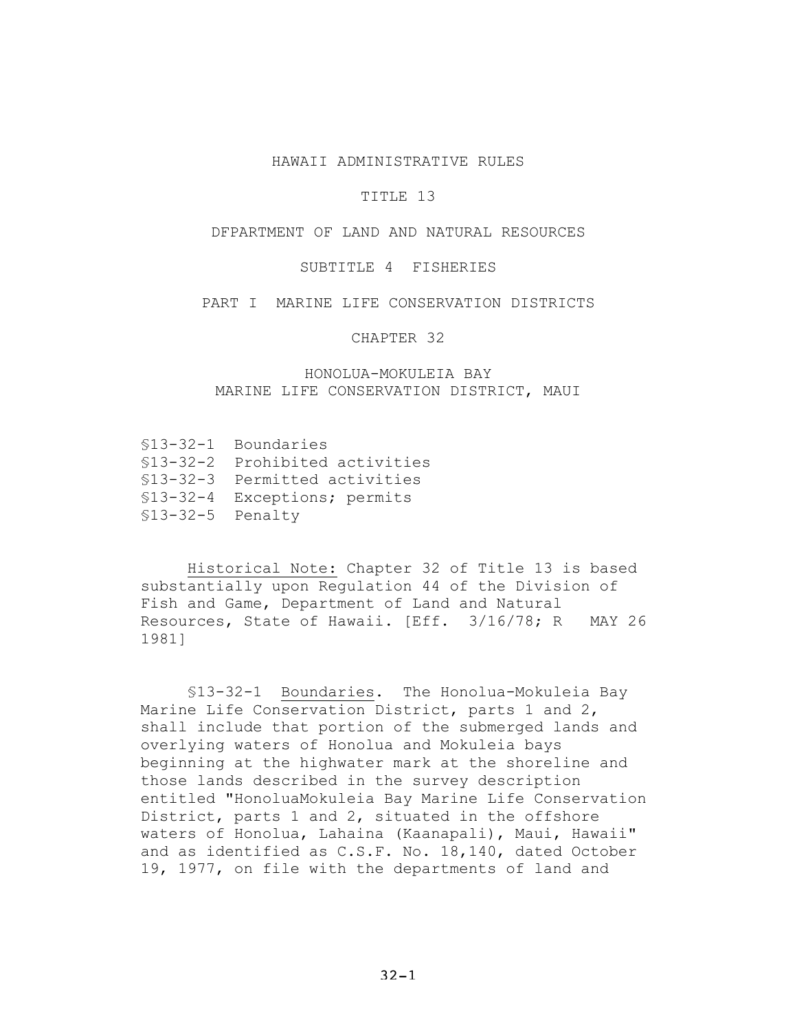#### HAWAII ADMINISTRATIVE RULES

### TITLE 13

# DFPARTMENT OF LAND AND NATURAL RESOURCES

### SUBTITLE 4 FISHERIES

#### PART I MARINE LIFE CONSERVATION DISTRICTS

CHAPTER 32

# HONOLUA-MOKULEIA BAY MARINE LIFE CONSERVATION DISTRICT, MAUI

- §13-32-1 Boundaries
- §13-32-2 Prohibited activities
- §13-32-3 Permitted activities
- §13-32-4 Exceptions; permits
- §13-32-5 Penalty

Historical Note: Chapter 32 of Title 13 is based substantially upon Regulation 44 of the Division of Fish and Game, Department of Land and Natural Resources, State of Hawaii. [Eff. 3/16/78; R MAY 26 1981]

§13-32-1 Boundaries. The Honolua-Mokuleia Bay Marine Life Conservation District, parts 1 and 2, shall include that portion of the submerged lands and overlying waters of Honolua and Mokuleia bays beginning at the highwater mark at the shoreline and those lands described in the survey description entitled "HonoluaMokuleia Bay Marine Life Conservation District, parts 1 and 2, situated in the offshore waters of Honolua, Lahaina (Kaanapali), Maui, Hawaii" and as identified as C.S.F. No. 18,140, dated October 19, 1977, on file with the departments of land and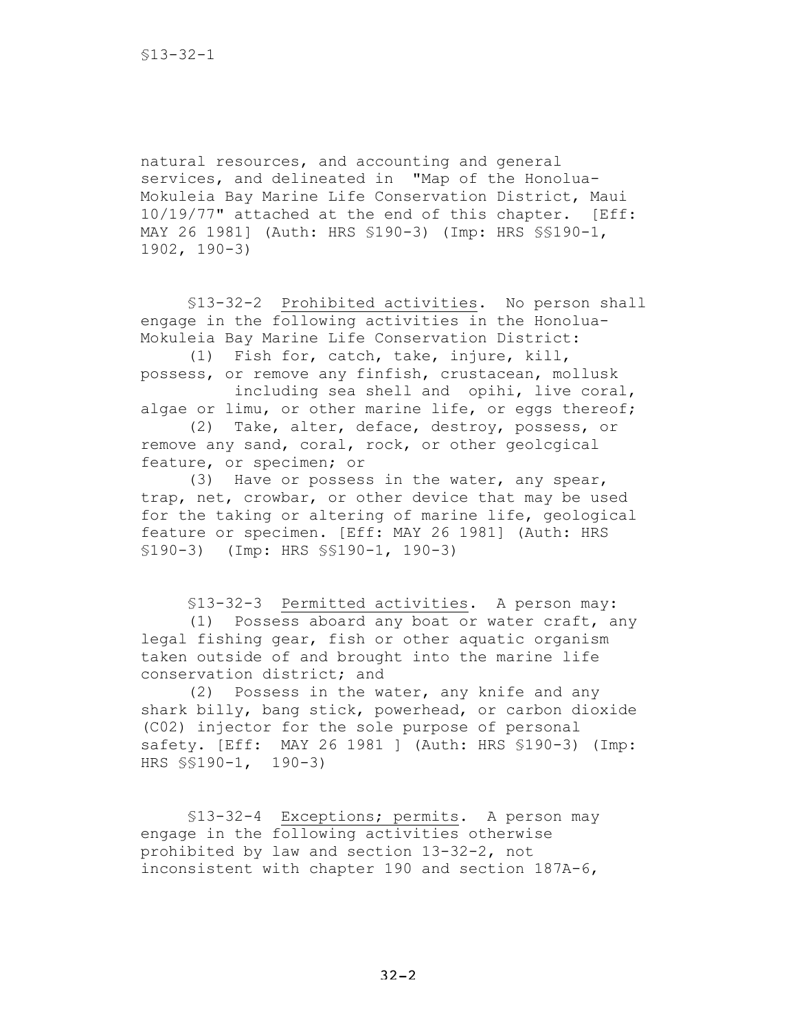natural resources, and accounting and general services, and delineated in "Map of the Honolua-Mokuleia Bay Marine Life Conservation District, Maui 10/19/77" attached at the end of this chapter. [Eff: MAY 26 1981] (Auth: HRS §190-3) (Imp: HRS §§190-1, 1902, 190-3)

§13-32-2 Prohibited activities. No person shall engage in the following activities in the Honolua-Mokuleia Bay Marine Life Conservation District:

(1) Fish for, catch, take, injure, kill, possess, or remove any finfish, crustacean, mollusk

including sea shell and opihi, live coral, algae or limu, or other marine life, or eggs thereof;

(2) Take, alter, deface, destroy, possess, or remove any sand, coral, rock, or other geolcgical feature, or specimen; or

(3) Have or possess in the water, any spear, trap, net, crowbar, or other device that may be used for the taking or altering of marine life, geological feature or specimen. [Eff: MAY 26 1981] (Auth: HRS §190-3) (Imp: HRS §§190-1, 190-3)

§13-32-3 Permitted activities. A person may: (1) Possess aboard any boat or water craft, any legal fishing gear, fish or other aquatic organism taken outside of and brought into the marine life conservation district; and

(2) Possess in the water, any knife and any shark billy, bang stick, powerhead, or carbon dioxide (C02) injector for the sole purpose of personal safety. [Eff: MAY 26 1981 ] (Auth: HRS §190-3) (Imp: HRS §§190-1, 190-3)

§13-32-4 Exceptions; permits. A person may engage in the following activities otherwise prohibited by law and section 13-32-2, not inconsistent with chapter 190 and section 187A-6,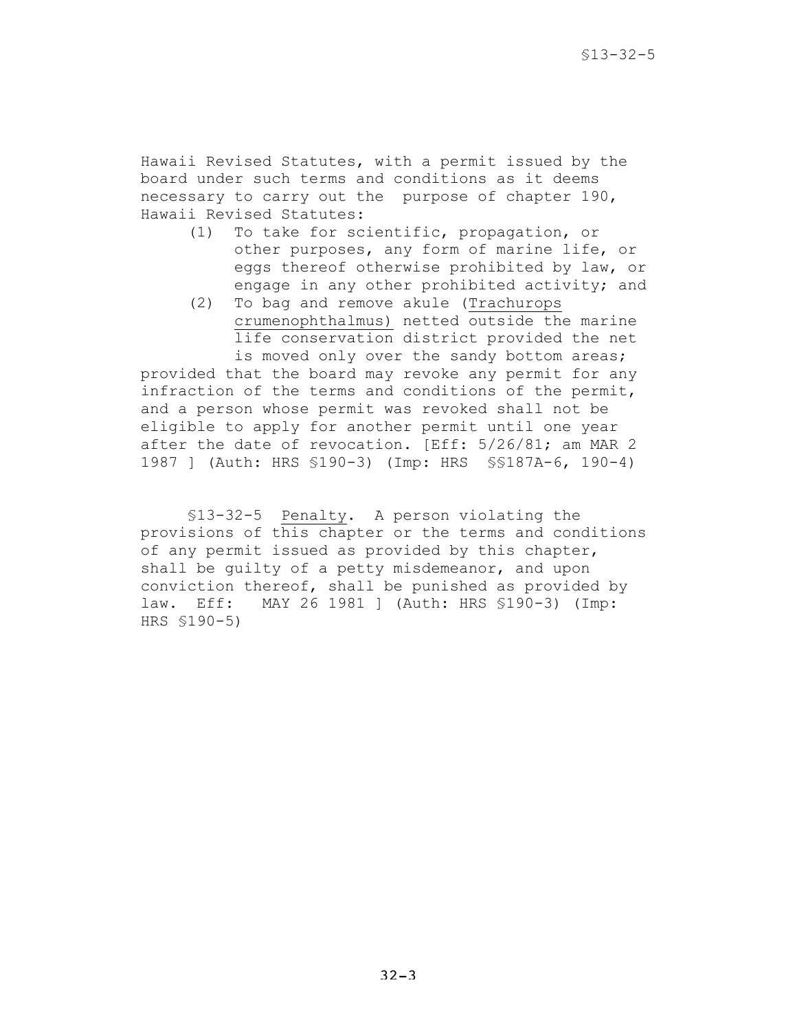Hawaii Revised Statutes, with a permit issued by the board under such terms and conditions as it deems necessary to carry out the purpose of chapter 190, Hawaii Revised Statutes:

- (1) To take for scientific, propagation, or other purposes, any form of marine life, or eggs thereof otherwise prohibited by law, or engage in any other prohibited activity; and
- (2) To bag and remove akule (Trachurops crumenophthalmus) netted outside the marine life conservation district provided the net is moved only over the sandy bottom areas;

provided that the board may revoke any permit for any infraction of the terms and conditions of the permit, and a person whose permit was revoked shall not be eligible to apply for another permit until one year after the date of revocation. [Eff: 5/26/81; am MAR 2 1987 ] (Auth: HRS §190-3) (Imp: HRS §§187A-6, 190-4)

§13-32-5 Penalty. A person violating the provisions of this chapter or the terms and conditions of any permit issued as provided by this chapter, shall be guilty of a petty misdemeanor, and upon conviction thereof, shall be punished as provided by law. Eff: MAY 26 1981 ] (Auth: HRS §190-3) (Imp: HRS §190-5)